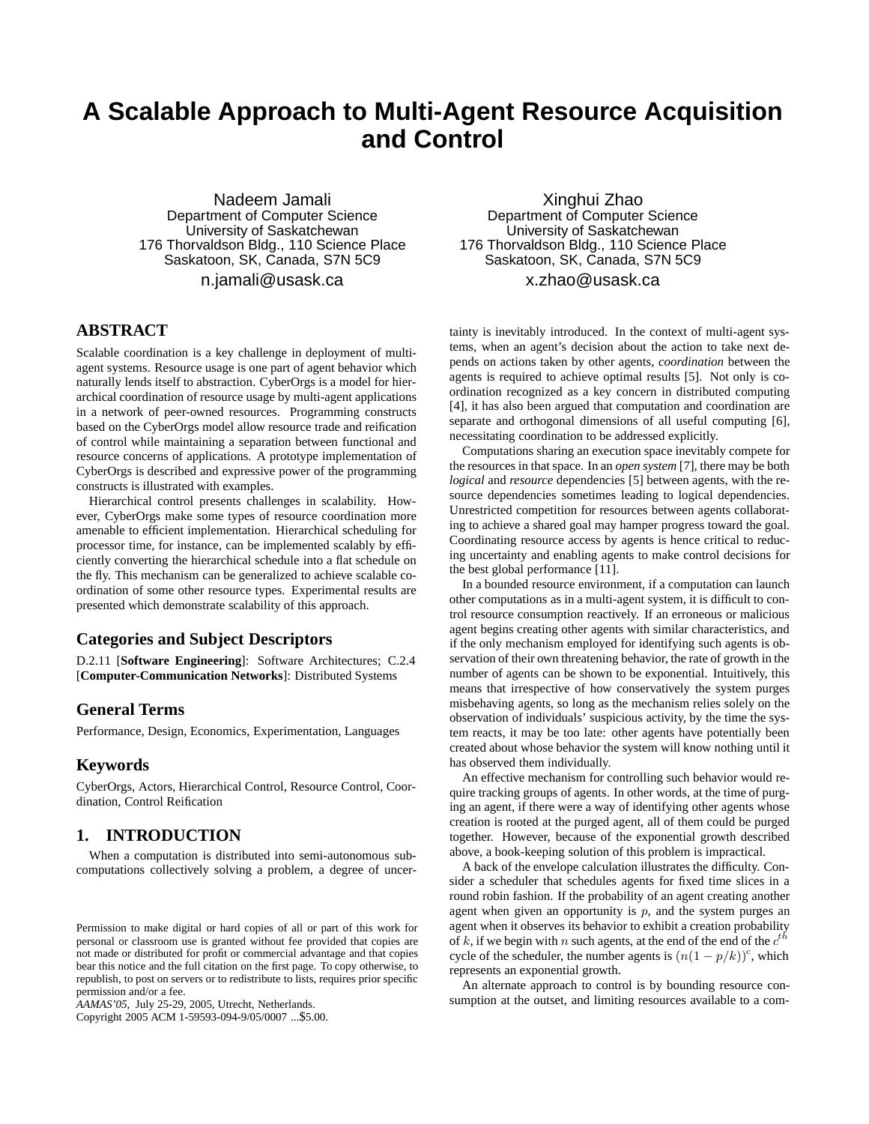# **A Scalable Approach to Multi-Agent Resource Acquisition and Control**

Nadeem Jamali Department of Computer Science University of Saskatchewan 176 Thorvaldson Bldg., 110 Science Place Saskatoon, SK, Canada, S7N 5C9 n.jamali@usask.ca

# **ABSTRACT**

Scalable coordination is a key challenge in deployment of multiagent systems. Resource usage is one part of agent behavior which naturally lends itself to abstraction. CyberOrgs is a model for hierarchical coordination of resource usage by multi-agent applications in a network of peer-owned resources. Programming constructs based on the CyberOrgs model allow resource trade and reification of control while maintaining a separation between functional and resource concerns of applications. A prototype implementation of CyberOrgs is described and expressive power of the programming constructs is illustrated with examples.

Hierarchical control presents challenges in scalability. However, CyberOrgs make some types of resource coordination more amenable to efficient implementation. Hierarchical scheduling for processor time, for instance, can be implemented scalably by efficiently converting the hierarchical schedule into a flat schedule on the fly. This mechanism can be generalized to achieve scalable coordination of some other resource types. Experimental results are presented which demonstrate scalability of this approach.

# **Categories and Subject Descriptors**

D.2.11 [**Software Engineering**]: Software Architectures; C.2.4 [**Computer-Communication Networks**]: Distributed Systems

## **General Terms**

Performance, Design, Economics, Experimentation, Languages

## **Keywords**

CyberOrgs, Actors, Hierarchical Control, Resource Control, Coordination, Control Reification

# **1. INTRODUCTION**

When a computation is distributed into semi-autonomous subcomputations collectively solving a problem, a degree of uncer-

Copyright 2005 ACM 1-59593-094-9/05/0007 ...\$5.00.

Xinghui Zhao Department of Computer Science University of Saskatchewan 176 Thorvaldson Bldg., 110 Science Place Saskatoon, SK, Canada, S7N 5C9 x.zhao@usask.ca

tainty is inevitably introduced. In the context of multi-agent systems, when an agent's decision about the action to take next depends on actions taken by other agents, *coordination* between the agents is required to achieve optimal results [5]. Not only is coordination recognized as a key concern in distributed computing [4], it has also been argued that computation and coordination are separate and orthogonal dimensions of all useful computing [6], necessitating coordination to be addressed explicitly.

Computations sharing an execution space inevitably compete for the resources in that space. In an *open system* [7], there may be both *logical* and *resource* dependencies [5] between agents, with the resource dependencies sometimes leading to logical dependencies. Unrestricted competition for resources between agents collaborating to achieve a shared goal may hamper progress toward the goal. Coordinating resource access by agents is hence critical to reducing uncertainty and enabling agents to make control decisions for the best global performance [11].

In a bounded resource environment, if a computation can launch other computations as in a multi-agent system, it is difficult to control resource consumption reactively. If an erroneous or malicious agent begins creating other agents with similar characteristics, and if the only mechanism employed for identifying such agents is observation of their own threatening behavior, the rate of growth in the number of agents can be shown to be exponential. Intuitively, this means that irrespective of how conservatively the system purges misbehaving agents, so long as the mechanism relies solely on the observation of individuals' suspicious activity, by the time the system reacts, it may be too late: other agents have potentially been created about whose behavior the system will know nothing until it has observed them individually.

An effective mechanism for controlling such behavior would require tracking groups of agents. In other words, at the time of purging an agent, if there were a way of identifying other agents whose creation is rooted at the purged agent, all of them could be purged together. However, because of the exponential growth described above, a book-keeping solution of this problem is impractical.

A back of the envelope calculation illustrates the difficulty. Consider a scheduler that schedules agents for fixed time slices in a round robin fashion. If the probability of an agent creating another agent when given an opportunity is  $p$ , and the system purges an agent when it observes its behavior to exhibit a creation probability of  $k$ , if we begin with  $n$  such agents, at the end of the end of the  $c^{th}$ cycle of the scheduler, the number agents is  $(n(1 - p/k))^c$ , which represents an exponential growth.

An alternate approach to control is by bounding resource consumption at the outset, and limiting resources available to a com-

Permission to make digital or hard copies of all or part of this work for personal or classroom use is granted without fee provided that copies are not made or distributed for profit or commercial advantage and that copies bear this notice and the full citation on the first page. To copy otherwise, to republish, to post on servers or to redistribute to lists, requires prior specific permission and/or a fee.

*AAMAS'05,* July 25-29, 2005, Utrecht, Netherlands.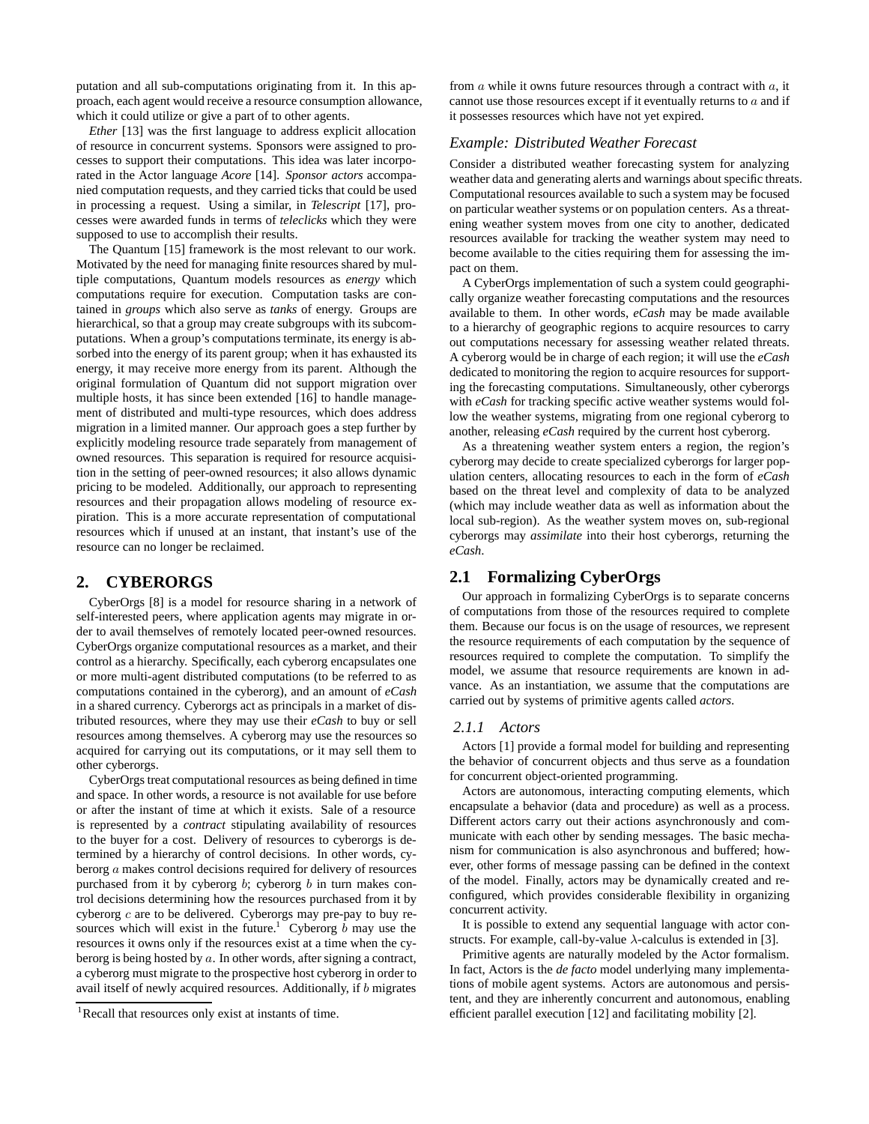putation and all sub-computations originating from it. In this approach, each agent would receive a resource consumption allowance, which it could utilize or give a part of to other agents.

*Ether* [13] was the first language to address explicit allocation of resource in concurrent systems. Sponsors were assigned to processes to support their computations. This idea was later incorporated in the Actor language *Acore* [14]. *Sponsor actors* accompanied computation requests, and they carried ticks that could be used in processing a request. Using a similar, in *Telescript* [17], processes were awarded funds in terms of *teleclicks* which they were supposed to use to accomplish their results.

The Quantum [15] framework is the most relevant to our work. Motivated by the need for managing finite resources shared by multiple computations, Quantum models resources as *energy* which computations require for execution. Computation tasks are contained in *groups* which also serve as *tanks* of energy. Groups are hierarchical, so that a group may create subgroups with its subcomputations. When a group's computations terminate, its energy is absorbed into the energy of its parent group; when it has exhausted its energy, it may receive more energy from its parent. Although the original formulation of Quantum did not support migration over multiple hosts, it has since been extended [16] to handle management of distributed and multi-type resources, which does address migration in a limited manner. Our approach goes a step further by explicitly modeling resource trade separately from management of owned resources. This separation is required for resource acquisition in the setting of peer-owned resources; it also allows dynamic pricing to be modeled. Additionally, our approach to representing resources and their propagation allows modeling of resource expiration. This is a more accurate representation of computational resources which if unused at an instant, that instant's use of the resource can no longer be reclaimed.

# **2. CYBERORGS**

CyberOrgs [8] is a model for resource sharing in a network of self-interested peers, where application agents may migrate in order to avail themselves of remotely located peer-owned resources. CyberOrgs organize computational resources as a market, and their control as a hierarchy. Specifically, each cyberorg encapsulates one or more multi-agent distributed computations (to be referred to as computations contained in the cyberorg), and an amount of *eCash* in a shared currency. Cyberorgs act as principals in a market of distributed resources, where they may use their *eCash* to buy or sell resources among themselves. A cyberorg may use the resources so acquired for carrying out its computations, or it may sell them to other cyberorgs.

CyberOrgs treat computational resources as being defined in time and space. In other words, a resource is not available for use before or after the instant of time at which it exists. Sale of a resource is represented by a *contract* stipulating availability of resources to the buyer for a cost. Delivery of resources to cyberorgs is determined by a hierarchy of control decisions. In other words, cyberorg a makes control decisions required for delivery of resources purchased from it by cyberorg  $b$ ; cyberorg  $b$  in turn makes control decisions determining how the resources purchased from it by cyberorg  $c$  are to be delivered. Cyberorgs may pre-pay to buy resources which will exist in the future.<sup>1</sup> Cyberorg  $\vec{b}$  may use the resources it owns only if the resources exist at a time when the cyberorg is being hosted by a. In other words, after signing a contract, a cyberorg must migrate to the prospective host cyberorg in order to avail itself of newly acquired resources. Additionally, if b migrates from  $a$  while it owns future resources through a contract with  $a$ , it cannot use those resources except if it eventually returns to  $a$  and if it possesses resources which have not yet expired.

#### *Example: Distributed Weather Forecast*

Consider a distributed weather forecasting system for analyzing weather data and generating alerts and warnings about specific threats. Computational resources available to such a system may be focused on particular weather systems or on population centers. As a threatening weather system moves from one city to another, dedicated resources available for tracking the weather system may need to become available to the cities requiring them for assessing the impact on them.

A CyberOrgs implementation of such a system could geographically organize weather forecasting computations and the resources available to them. In other words, *eCash* may be made available to a hierarchy of geographic regions to acquire resources to carry out computations necessary for assessing weather related threats. A cyberorg would be in charge of each region; it will use the *eCash* dedicated to monitoring the region to acquire resources for supporting the forecasting computations. Simultaneously, other cyberorgs with *eCash* for tracking specific active weather systems would follow the weather systems, migrating from one regional cyberorg to another, releasing *eCash* required by the current host cyberorg.

As a threatening weather system enters a region, the region's cyberorg may decide to create specialized cyberorgs for larger population centers, allocating resources to each in the form of *eCash* based on the threat level and complexity of data to be analyzed (which may include weather data as well as information about the local sub-region). As the weather system moves on, sub-regional cyberorgs may *assimilate* into their host cyberorgs, returning the *eCash*.

# **2.1 Formalizing CyberOrgs**

Our approach in formalizing CyberOrgs is to separate concerns of computations from those of the resources required to complete them. Because our focus is on the usage of resources, we represent the resource requirements of each computation by the sequence of resources required to complete the computation. To simplify the model, we assume that resource requirements are known in advance. As an instantiation, we assume that the computations are carried out by systems of primitive agents called *actors*.

#### *2.1.1 Actors*

Actors [1] provide a formal model for building and representing the behavior of concurrent objects and thus serve as a foundation for concurrent object-oriented programming.

Actors are autonomous, interacting computing elements, which encapsulate a behavior (data and procedure) as well as a process. Different actors carry out their actions asynchronously and communicate with each other by sending messages. The basic mechanism for communication is also asynchronous and buffered; however, other forms of message passing can be defined in the context of the model. Finally, actors may be dynamically created and reconfigured, which provides considerable flexibility in organizing concurrent activity.

It is possible to extend any sequential language with actor constructs. For example, call-by-value  $\lambda$ -calculus is extended in [3].

Primitive agents are naturally modeled by the Actor formalism. In fact, Actors is the *de facto* model underlying many implementations of mobile agent systems. Actors are autonomous and persistent, and they are inherently concurrent and autonomous, enabling efficient parallel execution [12] and facilitating mobility [2].

<sup>&</sup>lt;sup>1</sup>Recall that resources only exist at instants of time.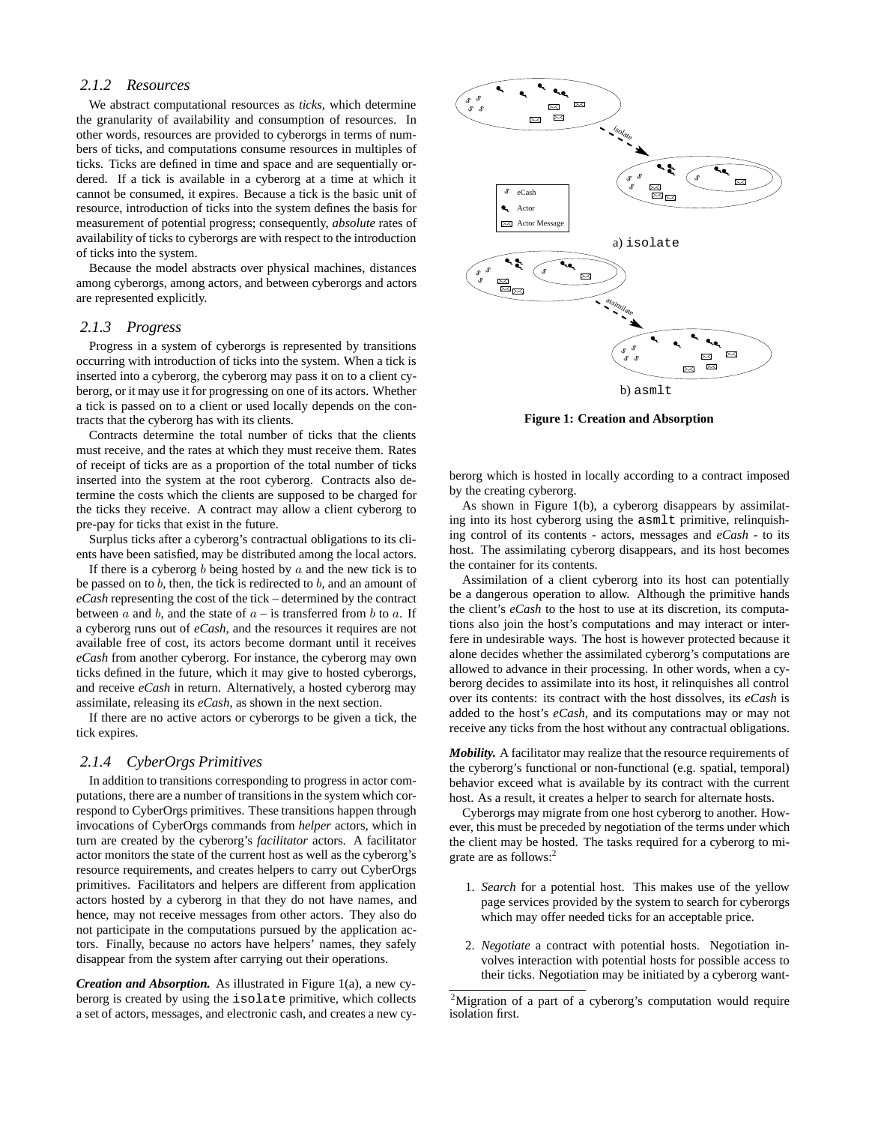#### *2.1.2 Resources*

We abstract computational resources as *ticks*, which determine the granularity of availability and consumption of resources. In other words, resources are provided to cyberorgs in terms of numbers of ticks, and computations consume resources in multiples of ticks. Ticks are defined in time and space and are sequentially ordered. If a tick is available in a cyberorg at a time at which it cannot be consumed, it expires. Because a tick is the basic unit of resource, introduction of ticks into the system defines the basis for measurement of potential progress; consequently, *absolute* rates of availability of ticks to cyberorgs are with respect to the introduction of ticks into the system.

Because the model abstracts over physical machines, distances among cyberorgs, among actors, and between cyberorgs and actors are represented explicitly.

## *2.1.3 Progress*

Progress in a system of cyberorgs is represented by transitions occurring with introduction of ticks into the system. When a tick is inserted into a cyberorg, the cyberorg may pass it on to a client cyberorg, or it may use it for progressing on one of its actors. Whether a tick is passed on to a client or used locally depends on the contracts that the cyberorg has with its clients.

Contracts determine the total number of ticks that the clients must receive, and the rates at which they must receive them. Rates of receipt of ticks are as a proportion of the total number of ticks inserted into the system at the root cyberorg. Contracts also determine the costs which the clients are supposed to be charged for the ticks they receive. A contract may allow a client cyberorg to pre-pay for ticks that exist in the future.

Surplus ticks after a cyberorg's contractual obligations to its clients have been satisfied, may be distributed among the local actors.

If there is a cyberorg  $b$  being hosted by  $a$  and the new tick is to be passed on to  $b$ , then, the tick is redirected to  $b$ , and an amount of *eCash* representing the cost of the tick – determined by the contract between a and b, and the state of  $a -$  is transferred from b to a. If a cyberorg runs out of *eCash*, and the resources it requires are not available free of cost, its actors become dormant until it receives *eCash* from another cyberorg. For instance, the cyberorg may own ticks defined in the future, which it may give to hosted cyberorgs, and receive *eCash* in return. Alternatively, a hosted cyberorg may assimilate, releasing its *eCash*, as shown in the next section.

If there are no active actors or cyberorgs to be given a tick, the tick expires.

## *2.1.4 CyberOrgs Primitives*

In addition to transitions corresponding to progress in actor computations, there are a number of transitions in the system which correspond to CyberOrgs primitives. These transitions happen through invocations of CyberOrgs commands from *helper* actors, which in turn are created by the cyberorg's *facilitator* actors. A facilitator actor monitors the state of the current host as well as the cyberorg's resource requirements, and creates helpers to carry out CyberOrgs primitives. Facilitators and helpers are different from application actors hosted by a cyberorg in that they do not have names, and hence, may not receive messages from other actors. They also do not participate in the computations pursued by the application actors. Finally, because no actors have helpers' names, they safely disappear from the system after carrying out their operations.

*Creation and Absorption.* As illustrated in Figure 1(a), a new cyberorg is created by using the isolate primitive, which collects a set of actors, messages, and electronic cash, and creates a new cy-



**Figure 1: Creation and Absorption**

berorg which is hosted in locally according to a contract imposed by the creating cyberorg.

As shown in Figure 1(b), a cyberorg disappears by assimilating into its host cyberorg using the asmlt primitive, relinquishing control of its contents - actors, messages and *eCash* - to its host. The assimilating cyberorg disappears, and its host becomes the container for its contents.

Assimilation of a client cyberorg into its host can potentially be a dangerous operation to allow. Although the primitive hands the client's *eCash* to the host to use at its discretion, its computations also join the host's computations and may interact or interfere in undesirable ways. The host is however protected because it alone decides whether the assimilated cyberorg's computations are allowed to advance in their processing. In other words, when a cyberorg decides to assimilate into its host, it relinquishes all control over its contents: its contract with the host dissolves, its *eCash* is added to the host's *eCash*, and its computations may or may not receive any ticks from the host without any contractual obligations.

*Mobility.* A facilitator may realize that the resource requirements of the cyberorg's functional or non-functional (e.g. spatial, temporal) behavior exceed what is available by its contract with the current host. As a result, it creates a helper to search for alternate hosts.

Cyberorgs may migrate from one host cyberorg to another. However, this must be preceded by negotiation of the terms under which the client may be hosted. The tasks required for a cyberorg to migrate are as follows:<sup>2</sup>

- 1. *Search* for a potential host. This makes use of the yellow page services provided by the system to search for cyberorgs which may offer needed ticks for an acceptable price.
- 2. *Negotiate* a contract with potential hosts. Negotiation involves interaction with potential hosts for possible access to their ticks. Negotiation may be initiated by a cyberorg want-

<sup>&</sup>lt;sup>2</sup>Migration of a part of a cyberorg's computation would require isolation first.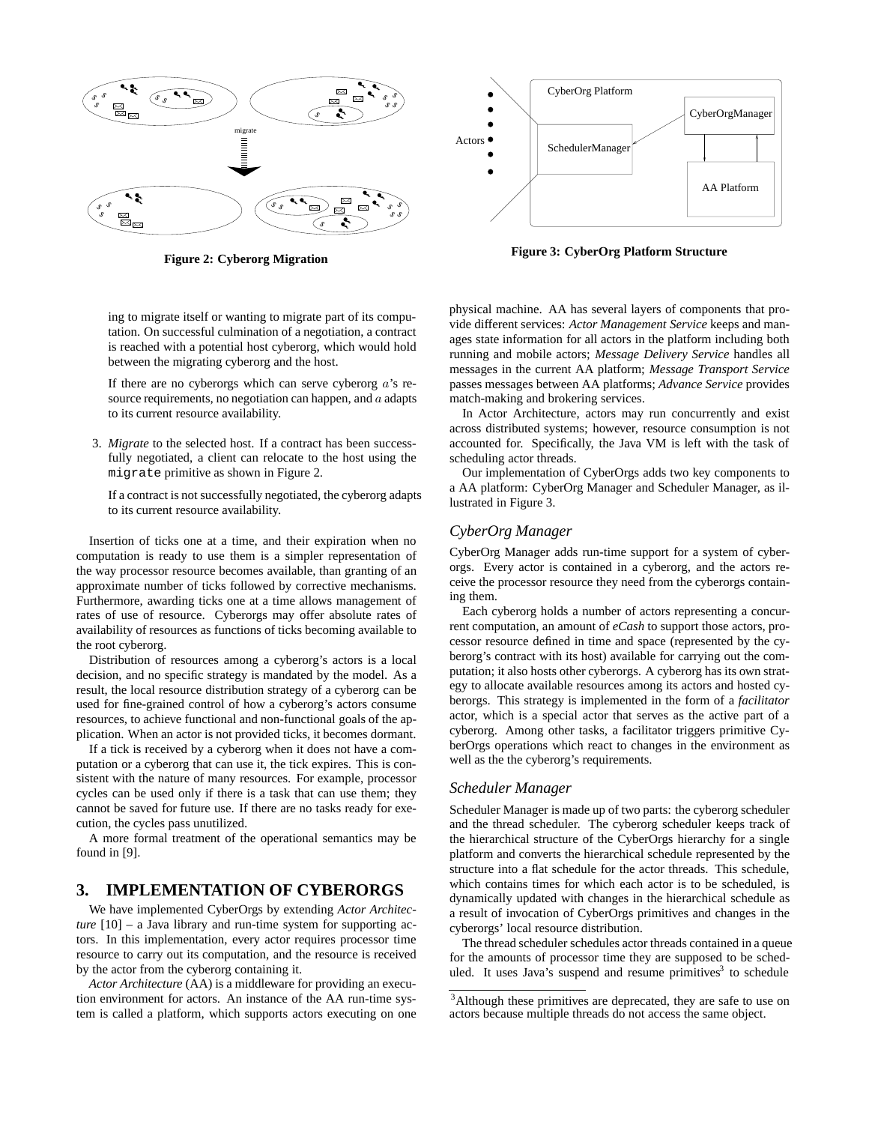

**Figure 2: Cyberorg Migration**

ing to migrate itself or wanting to migrate part of its computation. On successful culmination of a negotiation, a contract is reached with a potential host cyberorg, which would hold between the migrating cyberorg and the host.

If there are no cyberorgs which can serve cyberorg  $a$ 's resource requirements, no negotiation can happen, and  $a$  adapts to its current resource availability.

3. *Migrate* to the selected host. If a contract has been successfully negotiated, a client can relocate to the host using the migrate primitive as shown in Figure 2.

If a contract is not successfully negotiated, the cyberorg adapts to its current resource availability.

Insertion of ticks one at a time, and their expiration when no computation is ready to use them is a simpler representation of the way processor resource becomes available, than granting of an approximate number of ticks followed by corrective mechanisms. Furthermore, awarding ticks one at a time allows management of rates of use of resource. Cyberorgs may offer absolute rates of availability of resources as functions of ticks becoming available to the root cyberorg.

Distribution of resources among a cyberorg's actors is a local decision, and no specific strategy is mandated by the model. As a result, the local resource distribution strategy of a cyberorg can be used for fine-grained control of how a cyberorg's actors consume resources, to achieve functional and non-functional goals of the application. When an actor is not provided ticks, it becomes dormant.

If a tick is received by a cyberorg when it does not have a computation or a cyberorg that can use it, the tick expires. This is consistent with the nature of many resources. For example, processor cycles can be used only if there is a task that can use them; they cannot be saved for future use. If there are no tasks ready for execution, the cycles pass unutilized.

A more formal treatment of the operational semantics may be found in [9].

# **3. IMPLEMENTATION OF CYBERORGS**

We have implemented CyberOrgs by extending *Actor Architecture* [10] – a Java library and run-time system for supporting actors. In this implementation, every actor requires processor time resource to carry out its computation, and the resource is received by the actor from the cyberorg containing it.

*Actor Architecture* (AA) is a middleware for providing an execution environment for actors. An instance of the AA run-time system is called a platform, which supports actors executing on one



**Figure 3: CyberOrg Platform Structure**

physical machine. AA has several layers of components that provide different services: *Actor Management Service* keeps and manages state information for all actors in the platform including both running and mobile actors; *Message Delivery Service* handles all messages in the current AA platform; *Message Transport Service* passes messages between AA platforms; *Advance Service* provides match-making and brokering services.

In Actor Architecture, actors may run concurrently and exist across distributed systems; however, resource consumption is not accounted for. Specifically, the Java VM is left with the task of scheduling actor threads.

Our implementation of CyberOrgs adds two key components to a AA platform: CyberOrg Manager and Scheduler Manager, as illustrated in Figure 3.

#### *CyberOrg Manager*

CyberOrg Manager adds run-time support for a system of cyberorgs. Every actor is contained in a cyberorg, and the actors receive the processor resource they need from the cyberorgs containing them.

Each cyberorg holds a number of actors representing a concurrent computation, an amount of *eCash* to support those actors, processor resource defined in time and space (represented by the cyberorg's contract with its host) available for carrying out the computation; it also hosts other cyberorgs. A cyberorg has its own strategy to allocate available resources among its actors and hosted cyberorgs. This strategy is implemented in the form of a *facilitator* actor, which is a special actor that serves as the active part of a cyberorg. Among other tasks, a facilitator triggers primitive CyberOrgs operations which react to changes in the environment as well as the the cyberorg's requirements.

#### *Scheduler Manager*

Scheduler Manager is made up of two parts: the cyberorg scheduler and the thread scheduler. The cyberorg scheduler keeps track of the hierarchical structure of the CyberOrgs hierarchy for a single platform and converts the hierarchical schedule represented by the structure into a flat schedule for the actor threads. This schedule, which contains times for which each actor is to be scheduled, is dynamically updated with changes in the hierarchical schedule as a result of invocation of CyberOrgs primitives and changes in the cyberorgs' local resource distribution.

The thread scheduler schedules actor threads contained in a queue for the amounts of processor time they are supposed to be scheduled. It uses Java's suspend and resume primitives<sup>3</sup> to schedule

<sup>&</sup>lt;sup>3</sup>Although these primitives are deprecated, they are safe to use on actors because multiple threads do not access the same object.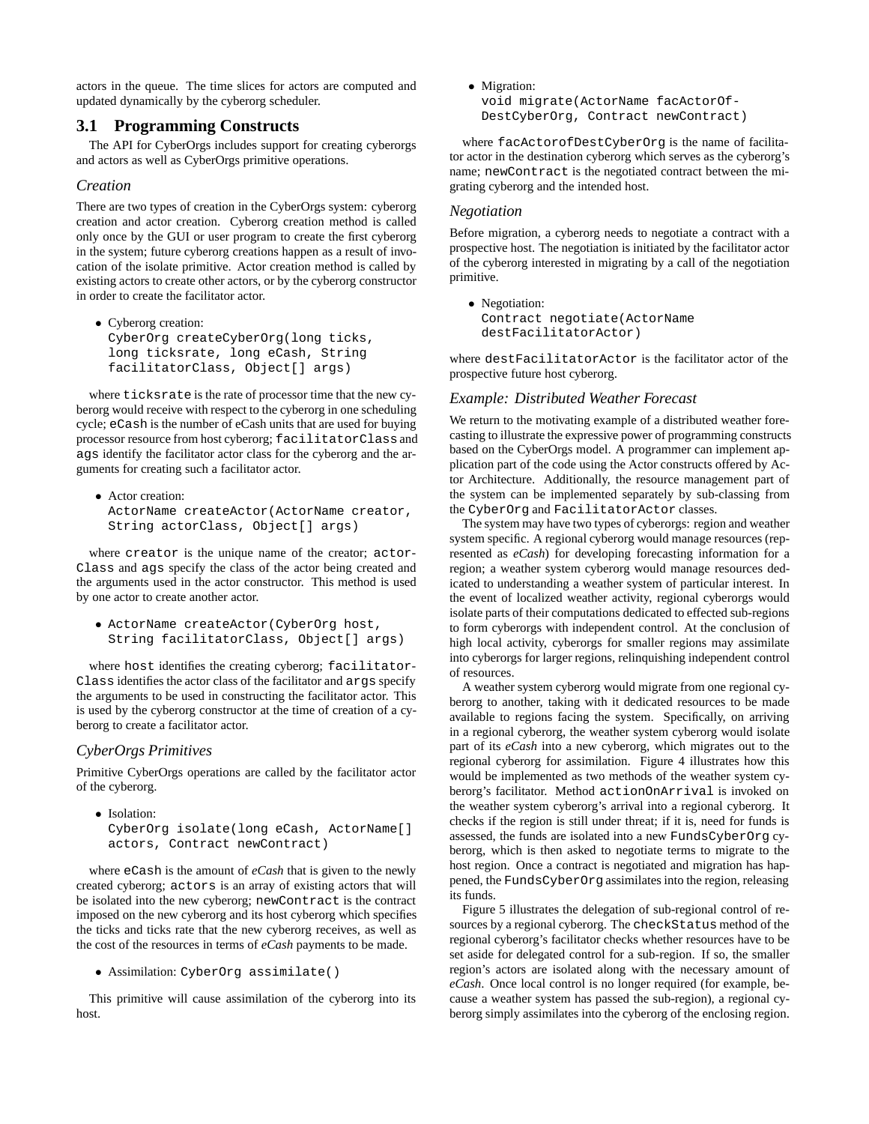actors in the queue. The time slices for actors are computed and updated dynamically by the cyberorg scheduler.

# **3.1 Programming Constructs**

The API for CyberOrgs includes support for creating cyberorgs and actors as well as CyberOrgs primitive operations.

#### *Creation*

There are two types of creation in the CyberOrgs system: cyberorg creation and actor creation. Cyberorg creation method is called only once by the GUI or user program to create the first cyberorg in the system; future cyberorg creations happen as a result of invocation of the isolate primitive. Actor creation method is called by existing actors to create other actors, or by the cyberorg constructor in order to create the facilitator actor.

*•* Cyberorg creation: CyberOrg createCyberOrg(long ticks, long ticksrate, long eCash, String facilitatorClass, Object[] args)

where ticksrate is the rate of processor time that the new cyberorg would receive with respect to the cyberorg in one scheduling cycle; eCash is the number of eCash units that are used for buying processor resource from host cyberorg; facilitatorClassand ags identify the facilitator actor class for the cyberorg and the arguments for creating such a facilitator actor.

*•* Actor creation: ActorName createActor(ActorName creator, String actorClass, Object[] args)

where creator is the unique name of the creator; actor-Class and ags specify the class of the actor being created and the arguments used in the actor constructor. This method is used by one actor to create another actor.

*•* ActorName createActor(CyberOrg host, String facilitatorClass, Object[] args)

where host identifies the creating cyberorg; facilitator-Class identifies the actor class of the facilitator and args specify the arguments to be used in constructing the facilitator actor. This is used by the cyberorg constructor at the time of creation of a cyberorg to create a facilitator actor.

#### *CyberOrgs Primitives*

Primitive CyberOrgs operations are called by the facilitator actor of the cyberorg.

```
• Isolation:
 CyberOrg isolate(long eCash, ActorName[]
 actors, Contract newContract)
```
where eCash is the amount of *eCash* that is given to the newly created cyberorg; actors is an array of existing actors that will be isolated into the new cyberorg; newContract is the contract imposed on the new cyberorg and its host cyberorg which specifies the ticks and ticks rate that the new cyberorg receives, as well as the cost of the resources in terms of *eCash* payments to be made.

```
• Assimilation: CyberOrg assimilate()
```
This primitive will cause assimilation of the cyberorg into its host.

*•* Migration:

void migrate(ActorName facActorOf-DestCyberOrg, Contract newContract)

where facActorofDestCyberOrg is the name of facilitator actor in the destination cyberorg which serves as the cyberorg's name; newContract is the negotiated contract between the migrating cyberorg and the intended host.

### *Negotiation*

Before migration, a cyberorg needs to negotiate a contract with a prospective host. The negotiation is initiated by the facilitator actor of the cyberorg interested in migrating by a call of the negotiation primitive.

*•* Negotiation: Contract negotiate(ActorName destFacilitatorActor)

where destFacilitatorActor is the facilitator actor of the prospective future host cyberorg.

# *Example: Distributed Weather Forecast*

We return to the motivating example of a distributed weather forecasting to illustrate the expressive power of programming constructs based on the CyberOrgs model. A programmer can implement application part of the code using the Actor constructs offered by Actor Architecture. Additionally, the resource management part of the system can be implemented separately by sub-classing from the CyberOrg and FacilitatorActor classes.

The system may have two types of cyberorgs: region and weather system specific. A regional cyberorg would manage resources (represented as *eCash*) for developing forecasting information for a region; a weather system cyberorg would manage resources dedicated to understanding a weather system of particular interest. In the event of localized weather activity, regional cyberorgs would isolate parts of their computations dedicated to effected sub-regions to form cyberorgs with independent control. At the conclusion of high local activity, cyberorgs for smaller regions may assimilate into cyberorgs for larger regions, relinquishing independent control of resources.

A weather system cyberorg would migrate from one regional cyberorg to another, taking with it dedicated resources to be made available to regions facing the system. Specifically, on arriving in a regional cyberorg, the weather system cyberorg would isolate part of its *eCash* into a new cyberorg, which migrates out to the regional cyberorg for assimilation. Figure 4 illustrates how this would be implemented as two methods of the weather system cyberorg's facilitator. Method actionOnArrival is invoked on the weather system cyberorg's arrival into a regional cyberorg. It checks if the region is still under threat; if it is, need for funds is assessed, the funds are isolated into a new FundsCyberOrg cyberorg, which is then asked to negotiate terms to migrate to the host region. Once a contract is negotiated and migration has happened, the FundsCyberOrg assimilates into the region, releasing its funds.

Figure 5 illustrates the delegation of sub-regional control of resources by a regional cyberorg. The checkStatus method of the regional cyberorg's facilitator checks whether resources have to be set aside for delegated control for a sub-region. If so, the smaller region's actors are isolated along with the necessary amount of *eCash*. Once local control is no longer required (for example, because a weather system has passed the sub-region), a regional cyberorg simply assimilates into the cyberorg of the enclosing region.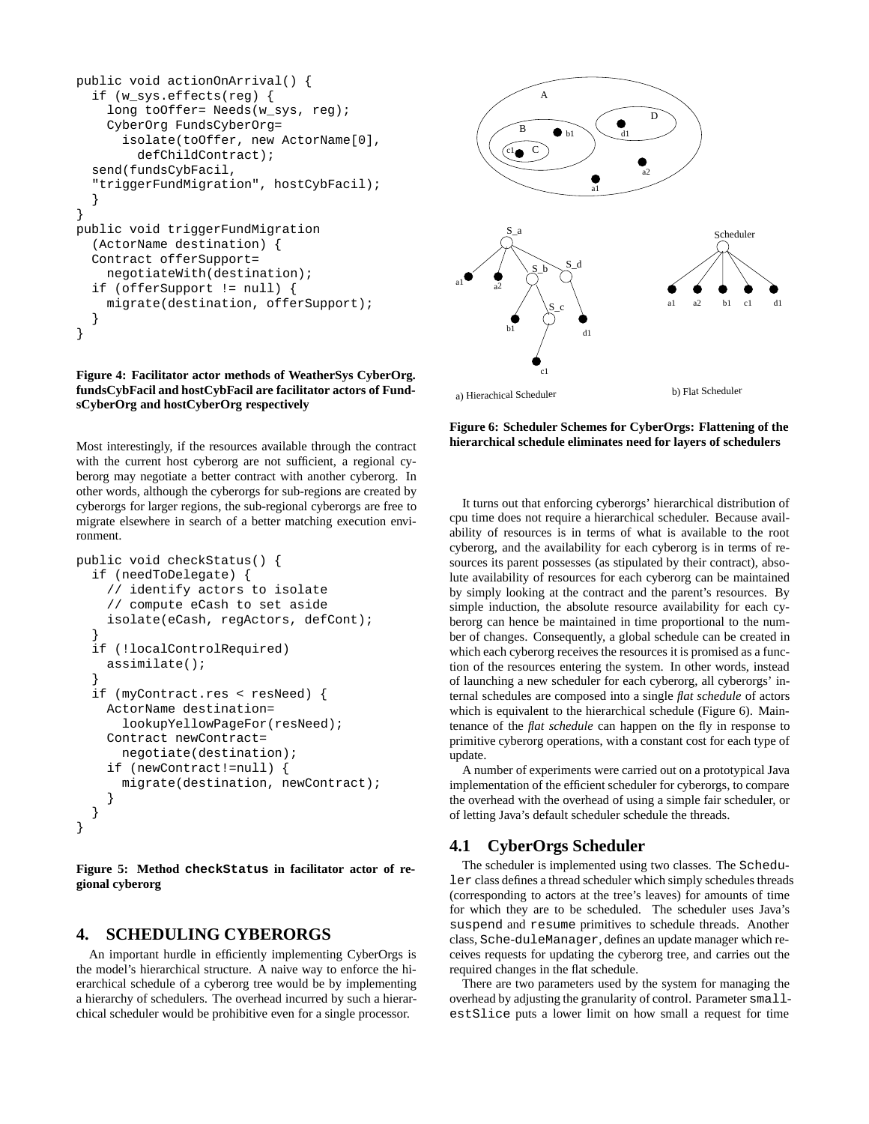```
public void actionOnArrival() {
  if (w_sys.effects(reg) {
    long toOffer= Needs(w_sys, reg);
    CyberOrg FundsCyberOrg=
      isolate(toOffer, new ActorName[0],
        defChildContract);
  send(fundsCybFacil,
  "triggerFundMigration", hostCybFacil);
  }
}
public void triggerFundMigration
  (ActorName destination) {
  Contract offerSupport=
    negotiateWith(destination);
  if (offerSupport != null) {
    migrate(destination, offerSupport);
  }
}
```
#### **Figure 4: Facilitator actor methods of WeatherSys CyberOrg. fundsCybFacil and hostCybFacil are facilitator actors of FundsCyberOrg and hostCyberOrg respectively**

Most interestingly, if the resources available through the contract with the current host cyberorg are not sufficient, a regional cyberorg may negotiate a better contract with another cyberorg. In other words, although the cyberorgs for sub-regions are created by cyberorgs for larger regions, the sub-regional cyberorgs are free to migrate elsewhere in search of a better matching execution environment.

```
public void checkStatus() {
  if (needToDelegate) {
    // identify actors to isolate
    // compute eCash to set aside
    isolate(eCash, regActors, defCont);
  }
  if (!localControlRequired)
    assimilate();
  }
  if (myContract.res < resNeed) {
    ActorName destination=
      lookupYellowPageFor(resNeed);
    Contract newContract=
      negotiate(destination);
    if (newContract!=null) {
      migrate(destination, newContract);
    }
  }
}
```
**Figure 5: Method checkStatus in facilitator actor of regional cyberorg**

#### **4. SCHEDULING CYBERORGS**

An important hurdle in efficiently implementing CyberOrgs is the model's hierarchical structure. A naive way to enforce the hierarchical schedule of a cyberorg tree would be by implementing a hierarchy of schedulers. The overhead incurred by such a hierarchical scheduler would be prohibitive even for a single processor.



**Figure 6: Scheduler Schemes for CyberOrgs: Flattening of the hierarchical schedule eliminates need for layers of schedulers**

It turns out that enforcing cyberorgs' hierarchical distribution of cpu time does not require a hierarchical scheduler. Because availability of resources is in terms of what is available to the root cyberorg, and the availability for each cyberorg is in terms of resources its parent possesses (as stipulated by their contract), absolute availability of resources for each cyberorg can be maintained by simply looking at the contract and the parent's resources. By simple induction, the absolute resource availability for each cyberorg can hence be maintained in time proportional to the number of changes. Consequently, a global schedule can be created in which each cyberorg receives the resources it is promised as a function of the resources entering the system. In other words, instead of launching a new scheduler for each cyberorg, all cyberorgs' internal schedules are composed into a single *flat schedule* of actors which is equivalent to the hierarchical schedule (Figure 6). Maintenance of the *flat schedule* can happen on the fly in response to primitive cyberorg operations, with a constant cost for each type of update.

A number of experiments were carried out on a prototypical Java implementation of the efficient scheduler for cyberorgs, to compare the overhead with the overhead of using a simple fair scheduler, or of letting Java's default scheduler schedule the threads.

## **4.1 CyberOrgs Scheduler**

The scheduler is implemented using two classes. The Scheduler class defines a thread scheduler which simply schedules threads (corresponding to actors at the tree's leaves) for amounts of time for which they are to be scheduled. The scheduler uses Java's suspend and resume primitives to schedule threads. Another class, Sche-duleManager, defines an update manager which receives requests for updating the cyberorg tree, and carries out the required changes in the flat schedule.

There are two parameters used by the system for managing the overhead by adjusting the granularity of control. Parameter smallestSlice puts a lower limit on how small a request for time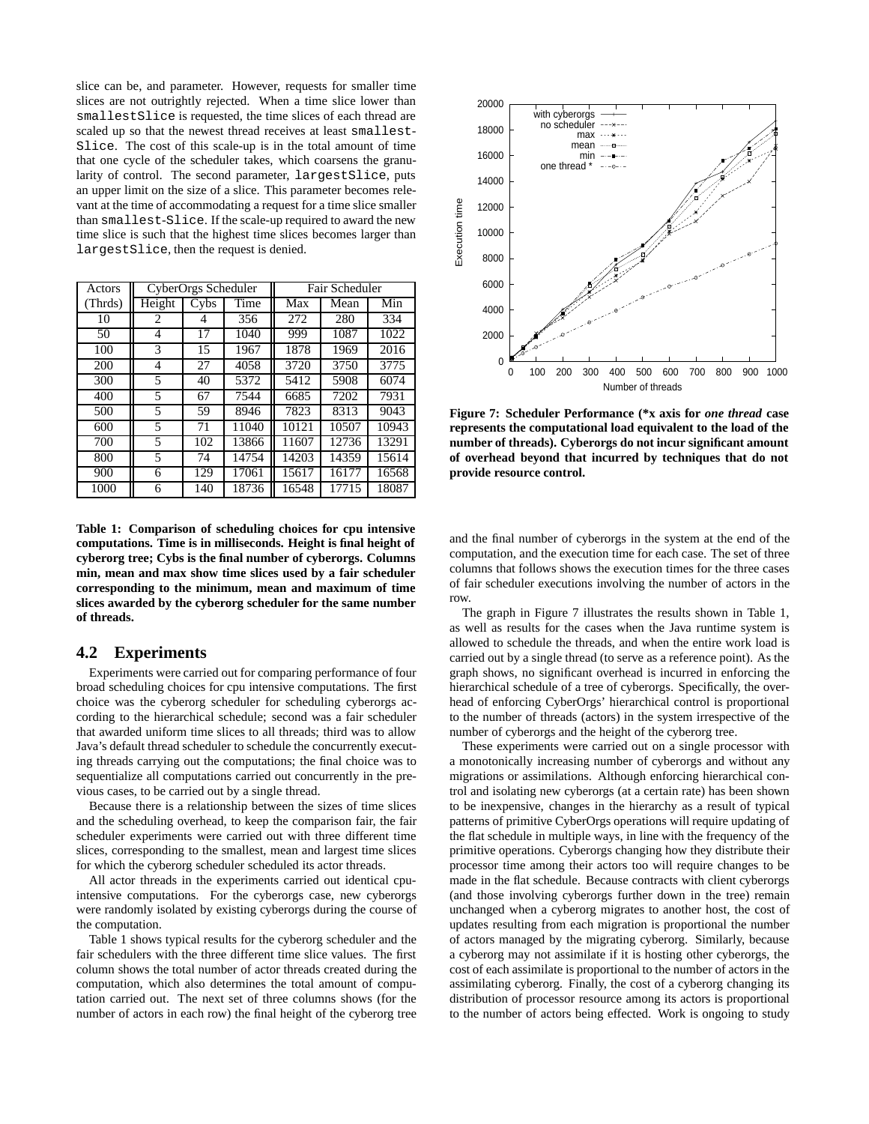slice can be, and parameter. However, requests for smaller time slices are not outrightly rejected. When a time slice lower than smallestSlice is requested, the time slices of each thread are scaled up so that the newest thread receives at least smallest-Slice. The cost of this scale-up is in the total amount of time that one cycle of the scheduler takes, which coarsens the granularity of control. The second parameter, largestSlice, puts an upper limit on the size of a slice. This parameter becomes relevant at the time of accommodating a request for a time slice smaller than smallest-Slice. If the scale-up required to award the new time slice is such that the highest time slices becomes larger than largestSlice, then the request is denied.

| Actors  | CyberOrgs Scheduler |      |       | Fair Scheduler |       |       |
|---------|---------------------|------|-------|----------------|-------|-------|
| (Thrds) | Height              | Cybs | Time  | Max            | Mean  | Min   |
| 10      | 2                   | 4    | 356   | 272            | 280   | 334   |
| 50      | 4                   | 17   | 1040  | 999            | 1087  | 1022  |
| 100     | 3                   | 15   | 1967  | 1878           | 1969  | 2016  |
| 200     | 4                   | 27   | 4058  | 3720           | 3750  | 3775  |
| 300     | 5                   | 40   | 5372  | 5412           | 5908  | 6074  |
| 400     | 5                   | 67   | 7544  | 6685           | 7202  | 7931  |
| 500     | 5                   | 59   | 8946  | 7823           | 8313  | 9043  |
| 600     | 5                   | 71   | 11040 | 10121          | 10507 | 10943 |
| 700     | 5                   | 102  | 13866 | 11607          | 12736 | 13291 |
| 800     | 5                   | 74   | 14754 | 14203          | 14359 | 15614 |
| 900     | 6                   | 129  | 17061 | 15617          | 16177 | 16568 |
| 1000    | 6                   | 140  | 18736 | 16548          | 17715 | 18087 |

**Table 1: Comparison of scheduling choices for cpu intensive computations. Time is in milliseconds. Height is final height of cyberorg tree; Cybs is the final number of cyberorgs. Columns min, mean and max show time slices used by a fair scheduler corresponding to the minimum, mean and maximum of time slices awarded by the cyberorg scheduler for the same number of threads.**

## **4.2 Experiments**

Experiments were carried out for comparing performance of four broad scheduling choices for cpu intensive computations. The first choice was the cyberorg scheduler for scheduling cyberorgs according to the hierarchical schedule; second was a fair scheduler that awarded uniform time slices to all threads; third was to allow Java's default thread scheduler to schedule the concurrently executing threads carrying out the computations; the final choice was to sequentialize all computations carried out concurrently in the previous cases, to be carried out by a single thread.

Because there is a relationship between the sizes of time slices and the scheduling overhead, to keep the comparison fair, the fair scheduler experiments were carried out with three different time slices, corresponding to the smallest, mean and largest time slices for which the cyberorg scheduler scheduled its actor threads.

All actor threads in the experiments carried out identical cpuintensive computations. For the cyberorgs case, new cyberorgs were randomly isolated by existing cyberorgs during the course of the computation.

Table 1 shows typical results for the cyberorg scheduler and the fair schedulers with the three different time slice values. The first column shows the total number of actor threads created during the computation, which also determines the total amount of computation carried out. The next set of three columns shows (for the number of actors in each row) the final height of the cyberorg tree



**Figure 7: Scheduler Performance (\*x axis for** *one thread* **case represents the computational load equivalent to the load of the number of threads). Cyberorgs do not incur significant amount of overhead beyond that incurred by techniques that do not provide resource control.**

and the final number of cyberorgs in the system at the end of the computation, and the execution time for each case. The set of three columns that follows shows the execution times for the three cases of fair scheduler executions involving the number of actors in the row.

The graph in Figure 7 illustrates the results shown in Table 1, as well as results for the cases when the Java runtime system is allowed to schedule the threads, and when the entire work load is carried out by a single thread (to serve as a reference point). As the graph shows, no significant overhead is incurred in enforcing the hierarchical schedule of a tree of cyberorgs. Specifically, the overhead of enforcing CyberOrgs' hierarchical control is proportional to the number of threads (actors) in the system irrespective of the number of cyberorgs and the height of the cyberorg tree.

These experiments were carried out on a single processor with a monotonically increasing number of cyberorgs and without any migrations or assimilations. Although enforcing hierarchical control and isolating new cyberorgs (at a certain rate) has been shown to be inexpensive, changes in the hierarchy as a result of typical patterns of primitive CyberOrgs operations will require updating of the flat schedule in multiple ways, in line with the frequency of the primitive operations. Cyberorgs changing how they distribute their processor time among their actors too will require changes to be made in the flat schedule. Because contracts with client cyberorgs (and those involving cyberorgs further down in the tree) remain unchanged when a cyberorg migrates to another host, the cost of updates resulting from each migration is proportional the number of actors managed by the migrating cyberorg. Similarly, because a cyberorg may not assimilate if it is hosting other cyberorgs, the cost of each assimilate is proportional to the number of actors in the assimilating cyberorg. Finally, the cost of a cyberorg changing its distribution of processor resource among its actors is proportional to the number of actors being effected. Work is ongoing to study